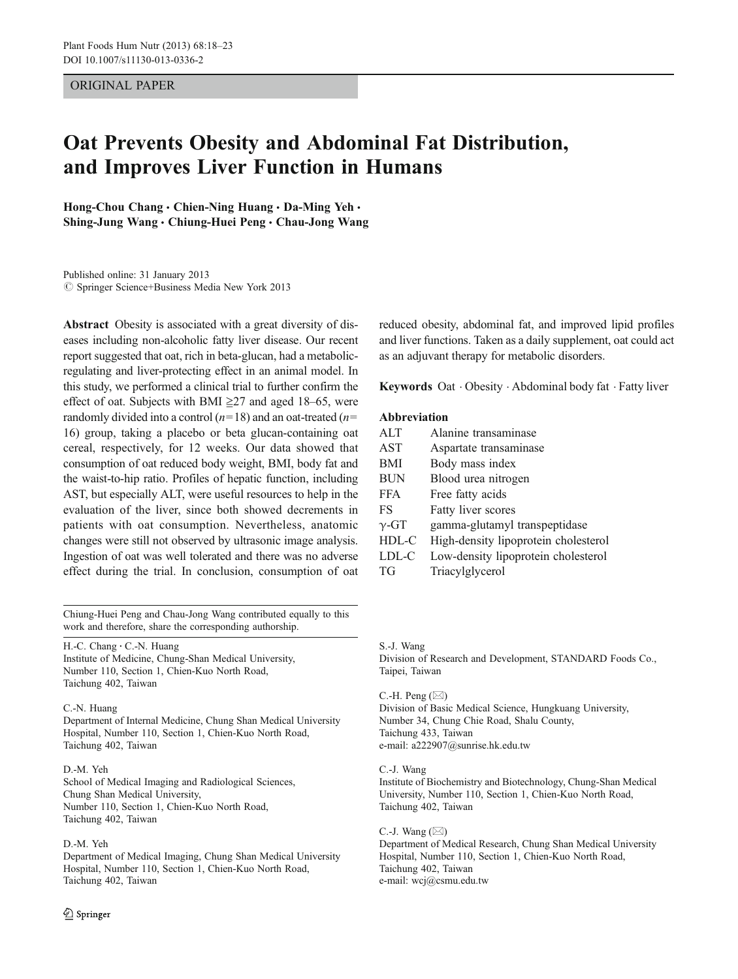## ORIGINAL PAPER

# Oat Prevents Obesity and Abdominal Fat Distribution, and Improves Liver Function in Humans

Hong-Chou Chang . Chien-Ning Huang . Da-Ming Yeh . Shing-Jung Wang · Chiung-Huei Peng · Chau-Jong Wang

Published online: 31 January 2013  $\circled{c}$  Springer Science+Business Media New York 2013

Abstract Obesity is associated with a great diversity of diseases including non-alcoholic fatty liver disease. Our recent report suggested that oat, rich in beta-glucan, had a metabolicregulating and liver-protecting effect in an animal model. In this study, we performed a clinical trial to further confirm the effect of oat. Subjects with BMI  $\geq$ 27 and aged 18–65, were randomly divided into a control  $(n=18)$  and an oat-treated  $(n=18)$ 16) group, taking a placebo or beta glucan-containing oat cereal, respectively, for 12 weeks. Our data showed that consumption of oat reduced body weight, BMI, body fat and the waist-to-hip ratio. Profiles of hepatic function, including AST, but especially ALT, were useful resources to help in the evaluation of the liver, since both showed decrements in patients with oat consumption. Nevertheless, anatomic changes were still not observed by ultrasonic image analysis. Ingestion of oat was well tolerated and there was no adverse effect during the trial. In conclusion, consumption of oat

Chiung-Huei Peng and Chau-Jong Wang contributed equally to this work and therefore, share the corresponding authorship.

H.-C. Chang · C.-N. Huang

Institute of Medicine, Chung-Shan Medical University, Number 110, Section 1, Chien-Kuo North Road, Taichung 402, Taiwan

#### C.-N. Huang

Department of Internal Medicine, Chung Shan Medical University Hospital, Number 110, Section 1, Chien-Kuo North Road, Taichung 402, Taiwan

#### D.-M. Yeh

School of Medical Imaging and Radiological Sciences, Chung Shan Medical University, Number 110, Section 1, Chien-Kuo North Road, Taichung 402, Taiwan

#### D.-M. Yeh

Department of Medical Imaging, Chung Shan Medical University Hospital, Number 110, Section 1, Chien-Kuo North Road, Taichung 402, Taiwan

reduced obesity, abdominal fat, and improved lipid profiles and liver functions. Taken as a daily supplement, oat could act as an adjuvant therapy for metabolic disorders.

Keywords Oat . Obesity . Abdominal body fat . Fatty liver

### Abbreviation

| <b>ALT</b>   | Alanine transaminase                 |
|--------------|--------------------------------------|
| AST          | Aspartate transaminase               |
| BMI          | Body mass index                      |
| BUN          | Blood urea nitrogen                  |
| <b>FFA</b>   | Free fatty acids                     |
| FS           | Fatty liver scores                   |
| $\gamma$ -GT | gamma-glutamyl transpeptidase        |
| HDL-C        | High-density lipoprotein cholesterol |
| LDL-C        | Low-density lipoprotein cholesterol  |
| TG           | Triacylglycerol                      |

S.-J. Wang

Division of Research and Development, STANDARD Foods Co., Taipei, Taiwan

#### C.-H. Peng  $(\boxtimes)$

Division of Basic Medical Science, Hungkuang University, Number 34, Chung Chie Road, Shalu County, Taichung 433, Taiwan e-mail: a222907@sunrise.hk.edu.tw

#### C.-J. Wang

Institute of Biochemistry and Biotechnology, Chung-Shan Medical University, Number 110, Section 1, Chien-Kuo North Road, Taichung 402, Taiwan

C.-J. Wang  $(\boxtimes)$ 

Department of Medical Research, Chung Shan Medical University Hospital, Number 110, Section 1, Chien-Kuo North Road, Taichung 402, Taiwan e-mail: wcj@csmu.edu.tw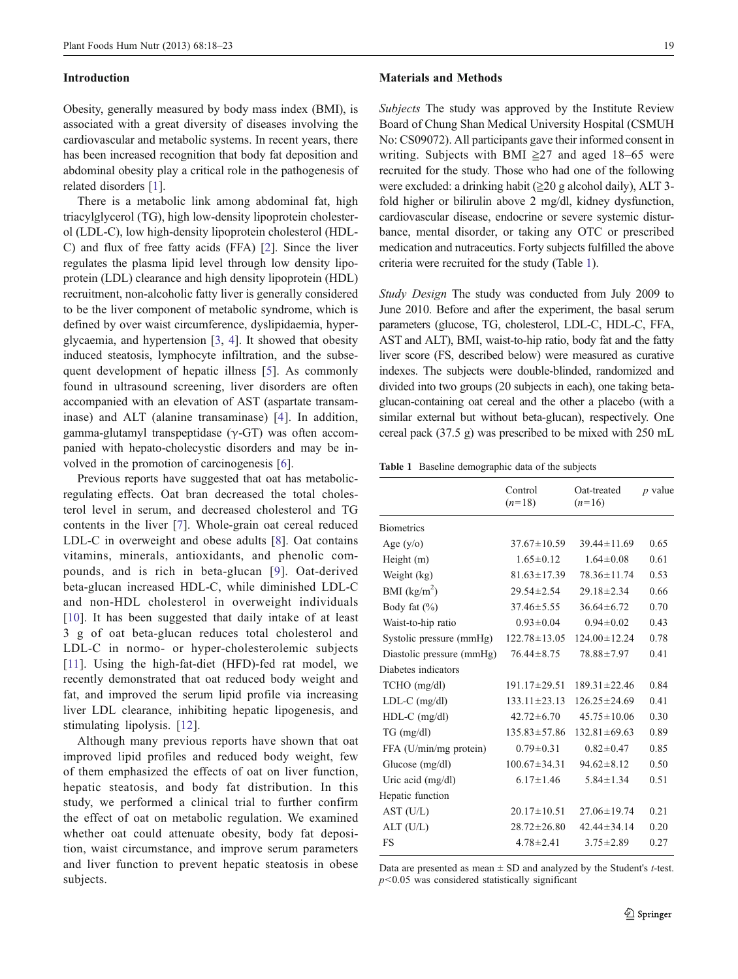#### <span id="page-1-0"></span>Introduction

Obesity, generally measured by body mass index (BMI), is associated with a great diversity of diseases involving the cardiovascular and metabolic systems. In recent years, there has been increased recognition that body fat deposition and abdominal obesity play a critical role in the pathogenesis of related disorders [\[1](#page-4-0)].

There is a metabolic link among abdominal fat, high triacylglycerol (TG), high low-density lipoprotein cholesterol (LDL-C), low high-density lipoprotein cholesterol (HDL-C) and flux of free fatty acids (FFA) [[2\]](#page-4-0). Since the liver regulates the plasma lipid level through low density lipoprotein (LDL) clearance and high density lipoprotein (HDL) recruitment, non-alcoholic fatty liver is generally considered to be the liver component of metabolic syndrome, which is defined by over waist circumference, dyslipidaemia, hyperglycaemia, and hypertension [\[3](#page-4-0), [4\]](#page-4-0). It showed that obesity induced steatosis, lymphocyte infiltration, and the subsequent development of hepatic illness [[5\]](#page-4-0). As commonly found in ultrasound screening, liver disorders are often accompanied with an elevation of AST (aspartate transaminase) and ALT (alanine transaminase) [\[4](#page-4-0)]. In addition, gamma-glutamyl transpeptidase (γ-GT) was often accompanied with hepato-cholecystic disorders and may be involved in the promotion of carcinogenesis [[6\]](#page-4-0).

Previous reports have suggested that oat has metabolicregulating effects. Oat bran decreased the total cholesterol level in serum, and decreased cholesterol and TG contents in the liver [[7\]](#page-4-0). Whole-grain oat cereal reduced LDL-C in overweight and obese adults [\[8](#page-4-0)]. Oat contains vitamins, minerals, antioxidants, and phenolic compounds, and is rich in beta-glucan [[9\]](#page-4-0). Oat-derived beta-glucan increased HDL-C, while diminished LDL-C and non-HDL cholesterol in overweight individuals [\[10\]](#page-4-0). It has been suggested that daily intake of at least 3 g of oat beta-glucan reduces total cholesterol and LDL-C in normo- or hyper-cholesterolemic subjects [\[11](#page-4-0)]. Using the high-fat-diet (HFD)-fed rat model, we recently demonstrated that oat reduced body weight and fat, and improved the serum lipid profile via increasing liver LDL clearance, inhibiting hepatic lipogenesis, and stimulating lipolysis. [[12\]](#page-4-0).

Although many previous reports have shown that oat improved lipid profiles and reduced body weight, few of them emphasized the effects of oat on liver function, hepatic steatosis, and body fat distribution. In this study, we performed a clinical trial to further confirm the effect of oat on metabolic regulation. We examined whether oat could attenuate obesity, body fat deposition, waist circumstance, and improve serum parameters and liver function to prevent hepatic steatosis in obese subjects.

#### Materials and Methods

Subjects The study was approved by the Institute Review Board of Chung Shan Medical University Hospital (CSMUH No: CS09072). All participants gave their informed consent in writing. Subjects with BMI  $\geq$ 27 and aged 18–65 were recruited for the study. Those who had one of the following were excluded: a drinking habit (≧20 g alcohol daily), ALT 3 fold higher or bilirulin above 2 mg/dl, kidney dysfunction, cardiovascular disease, endocrine or severe systemic disturbance, mental disorder, or taking any OTC or prescribed medication and nutraceutics. Forty subjects fulfilled the above criteria were recruited for the study (Table 1).

Study Design The study was conducted from July 2009 to June 2010. Before and after the experiment, the basal serum parameters (glucose, TG, cholesterol, LDL-C, HDL-C, FFA, AST and ALT), BMI, waist-to-hip ratio, body fat and the fatty liver score (FS, described below) were measured as curative indexes. The subjects were double-blinded, randomized and divided into two groups (20 subjects in each), one taking betaglucan-containing oat cereal and the other a placebo (with a similar external but without beta-glucan), respectively. One cereal pack (37.5 g) was prescribed to be mixed with 250 mL

Table 1 Baseline demographic data of the subjects

|                           | Control<br>$(n=18)$ | Oat-treated<br>$(n=16)$ | <i>p</i> value |  |
|---------------------------|---------------------|-------------------------|----------------|--|
| <b>Biometrics</b>         |                     |                         |                |  |
| Age $(y/o)$               | $37.67 \pm 10.59$   | $39.44 \pm 11.69$       | 0.65           |  |
| Height (m)                | $1.65 \pm 0.12$     | $1.64 \pm 0.08$         | 0.61           |  |
| Weight (kg)               | $81.63 \pm 17.39$   | $78.36 \pm 11.74$       | 0.53           |  |
| BMI $(kg/m^2)$            | $29.54 \pm 2.54$    | $29.18 \pm 2.34$        | 0.66           |  |
| Body fat $(\% )$          | $37.46 \pm 5.55$    | $36.64 \pm 6.72$        | 0.70           |  |
| Waist-to-hip ratio        | $0.93 \pm 0.04$     | $0.94 \pm 0.02$         | 0.43           |  |
| Systolic pressure (mmHg)  | $122.78 \pm 13.05$  | $124.00 \pm 12.24$      | 0.78           |  |
| Diastolic pressure (mmHg) | $76.44 \pm 8.75$    | 78.88±7.97              | 0.41           |  |
| Diabetes indicators       |                     |                         |                |  |
| $TCHO$ (mg/dl)            | $191.17 \pm 29.51$  | $189.31 \pm 22.46$      | 0.84           |  |
| $LDL-C$ (mg/dl)           | $133.11 \pm 23.13$  | $126.25 \pm 24.69$      | 0.41           |  |
| $HDL-C$ (mg/dl)           | $42.72 \pm 6.70$    | $45.75 \pm 10.06$       | 0.30           |  |
| $TG \, (mg/dl)$           | $135.83 \pm 57.86$  | $132.81 \pm 69.63$      | 0.89           |  |
| FFA (U/min/mg protein)    | $0.79 \pm 0.31$     | $0.82 \pm 0.47$         | 0.85           |  |
| Glucose $(mg/dl)$         | $100.67 \pm 34.31$  | $94.62 \pm 8.12$        | 0.50           |  |
| Uric acid $(mg/dl)$       | $6.17 \pm 1.46$     | $5.84 \pm 1.34$         | 0.51           |  |
| Hepatic function          |                     |                         |                |  |
| AST (U/L)                 | $20.17 \pm 10.51$   | $27.06 \pm 19.74$       | 0.21           |  |
| ALT (U/L)                 | $28.72 \pm 26.80$   | $42.44 \pm 34.14$       | 0.20           |  |
| FS                        | $4.78 \pm 2.41$     | $3.75 \pm 2.89$         | 0.27           |  |
|                           |                     |                         |                |  |

Data are presented as mean  $\pm$  SD and analyzed by the Student's *t*-test.  $p$ <0.05 was considered statistically significant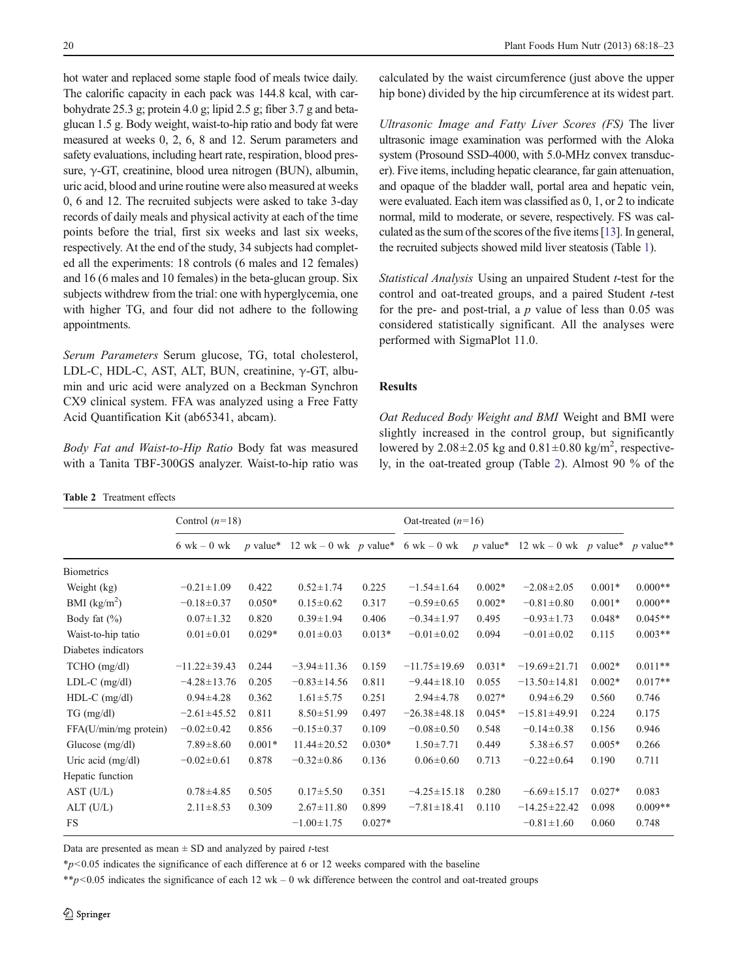<span id="page-2-0"></span>hot water and replaced some staple food of meals twice daily. The calorific capacity in each pack was 144.8 kcal, with carbohydrate 25.3 g; protein 4.0 g; lipid 2.5 g; fiber 3.7 g and betaglucan 1.5 g. Body weight, waist-to-hip ratio and body fat were measured at weeks 0, 2, 6, 8 and 12. Serum parameters and safety evaluations, including heart rate, respiration, blood pressure, γ-GT, creatinine, blood urea nitrogen (BUN), albumin, uric acid, blood and urine routine were also measured at weeks 0, 6 and 12. The recruited subjects were asked to take 3-day records of daily meals and physical activity at each of the time points before the trial, first six weeks and last six weeks, respectively. At the end of the study, 34 subjects had completed all the experiments: 18 controls (6 males and 12 females) and 16 (6 males and 10 females) in the beta-glucan group. Six subjects withdrew from the trial: one with hyperglycemia, one with higher TG, and four did not adhere to the following appointments.

Serum Parameters Serum glucose, TG, total cholesterol, LDL-C, HDL-C, AST, ALT, BUN, creatinine, γ-GT, albumin and uric acid were analyzed on a Beckman Synchron CX9 clinical system. FFA was analyzed using a Free Fatty Acid Quantification Kit (ab65341, abcam).

Body Fat and Waist-to-Hip Ratio Body fat was measured with a Tanita TBF-300GS analyzer. Waist-to-hip ratio was

| <b>Table 2</b> Treatment effects |  |
|----------------------------------|--|
|----------------------------------|--|

calculated by the waist circumference (just above the upper hip bone) divided by the hip circumference at its widest part.

Ultrasonic Image and Fatty Liver Scores (FS) The liver ultrasonic image examination was performed with the Aloka system (Prosound SSD-4000, with 5.0-MHz convex transducer). Five items, including hepatic clearance, far gain attenuation, and opaque of the bladder wall, portal area and hepatic vein, were evaluated. Each item was classified as 0, 1, or 2 to indicate normal, mild to moderate, or severe, respectively. FS was calculated as the sum of the scores of the five items [\[13](#page-4-0)]. In general, the recruited subjects showed mild liver steatosis (Table [1\)](#page-1-0).

Statistical Analysis Using an unpaired Student t-test for the control and oat-treated groups, and a paired Student  $t$ -test for the pre- and post-trial, a  $p$  value of less than 0.05 was considered statistically significant. All the analyses were performed with SigmaPlot 11.0.

#### Results

Oat Reduced Body Weight and BMI Weight and BMI were slightly increased in the control group, but significantly lowered by  $2.08 \pm 2.05$  kg and  $0.81 \pm 0.80$  kg/m<sup>2</sup>, respectively, in the oat-treated group (Table 2). Almost 90 % of the

|                       | Control $(n=18)$              |          |                                            | Oat-treated $(n=16)$ |                    |          |                                                               |          |           |
|-----------------------|-------------------------------|----------|--------------------------------------------|----------------------|--------------------|----------|---------------------------------------------------------------|----------|-----------|
|                       | $6 \text{ wk} - 0 \text{ wk}$ |          | p value* 12 wk = 0 wk p value* 6 wk = 0 wk |                      |                    |          | <i>p</i> value* 12 wk – 0 wk <i>p</i> value* <i>p</i> value** |          |           |
| <b>Biometrics</b>     |                               |          |                                            |                      |                    |          |                                                               |          |           |
| Weight (kg)           | $-0.21 \pm 1.09$              | 0.422    | $0.52 \pm 1.74$                            | 0.225                | $-1.54 \pm 1.64$   | $0.002*$ | $-2.08 \pm 2.05$                                              | $0.001*$ | $0.000**$ |
| BMI $(kg/m^2)$        | $-0.18 \pm 0.37$              | $0.050*$ | $0.15 \pm 0.62$                            | 0.317                | $-0.59 \pm 0.65$   | $0.002*$ | $-0.81 \pm 0.80$                                              | $0.001*$ | $0.000**$ |
| Body fat $(\% )$      | $0.07 \pm 1.32$               | 0.820    | $0.39 \pm 1.94$                            | 0.406                | $-0.34 \pm 1.97$   | 0.495    | $-0.93 \pm 1.73$                                              | $0.048*$ | $0.045**$ |
| Waist-to-hip tatio    | $0.01 \pm 0.01$               | $0.029*$ | $0.01 \pm 0.03$                            | $0.013*$             | $-0.01 \pm 0.02$   | 0.094    | $-0.01 \pm 0.02$                                              | 0.115    | $0.003**$ |
| Diabetes indicators   |                               |          |                                            |                      |                    |          |                                                               |          |           |
| $TCHO$ (mg/dl)        | $-11.22 \pm 39.43$            | 0.244    | $-3.94 \pm 11.36$                          | 0.159                | $-11.75 \pm 19.69$ | $0.031*$ | $-19.69 \pm 21.71$                                            | $0.002*$ | $0.011**$ |
| $LDL-C$ (mg/dl)       | $-4.28 \pm 13.76$             | 0.205    | $-0.83 \pm 14.56$                          | 0.811                | $-9.44 \pm 18.10$  | 0.055    | $-13.50 \pm 14.81$                                            | $0.002*$ | $0.017**$ |
| $HDL-C$ (mg/dl)       | $0.94 \pm 4.28$               | 0.362    | $1.61 \pm 5.75$                            | 0.251                | $2.94 \pm 4.78$    | $0.027*$ | $0.94 \pm 6.29$                                               | 0.560    | 0.746     |
| $TG \, (mg/dl)$       | $-2.61 \pm 45.52$             | 0.811    | $8.50 \pm 51.99$                           | 0.497                | $-26.38 \pm 48.18$ | $0.045*$ | $-15.81 \pm 49.91$                                            | 0.224    | 0.175     |
| FFA(U/min/mg protein) | $-0.02 \pm 0.42$              | 0.856    | $-0.15 \pm 0.37$                           | 0.109                | $-0.08 \pm 0.50$   | 0.548    | $-0.14\pm0.38$                                                | 0.156    | 0.946     |
| Glucose $(mg/dl)$     | $7.89 \pm 8.60$               | $0.001*$ | $11.44 \pm 20.52$                          | $0.030*$             | $1.50 \pm 7.71$    | 0.449    | $5.38 \pm 6.57$                                               | $0.005*$ | 0.266     |
| Uric acid $(mg/dl)$   | $-0.02 \pm 0.61$              | 0.878    | $-0.32 \pm 0.86$                           | 0.136                | $0.06 \pm 0.60$    | 0.713    | $-0.22 \pm 0.64$                                              | 0.190    | 0.711     |
| Hepatic function      |                               |          |                                            |                      |                    |          |                                                               |          |           |
| AST (U/L)             | $0.78 + 4.85$                 | 0.505    | $0.17 + 5.50$                              | 0.351                | $-4.25 \pm 15.18$  | 0.280    | $-6.69 \pm 15.17$                                             | $0.027*$ | 0.083     |
| ALT (U/L)             | $2.11 \pm 8.53$               | 0.309    | $2.67 \pm 11.80$                           | 0.899                | $-7.81 \pm 18.41$  | 0.110    | $-14.25 \pm 22.42$                                            | 0.098    | $0.009**$ |
| <b>FS</b>             |                               |          | $-1.00 \pm 1.75$                           | $0.027*$             |                    |          | $-0.81 \pm 1.60$                                              | 0.060    | 0.748     |
|                       |                               |          |                                            |                      |                    |          |                                                               |          |           |

Data are presented as mean  $\pm$  SD and analyzed by paired *t*-test

 $\frac{*p}{0.05}$  indicates the significance of each difference at 6 or 12 weeks compared with the baseline

\*\*p<0.05 indicates the significance of each 12 wk – 0 wk difference between the control and oat-treated groups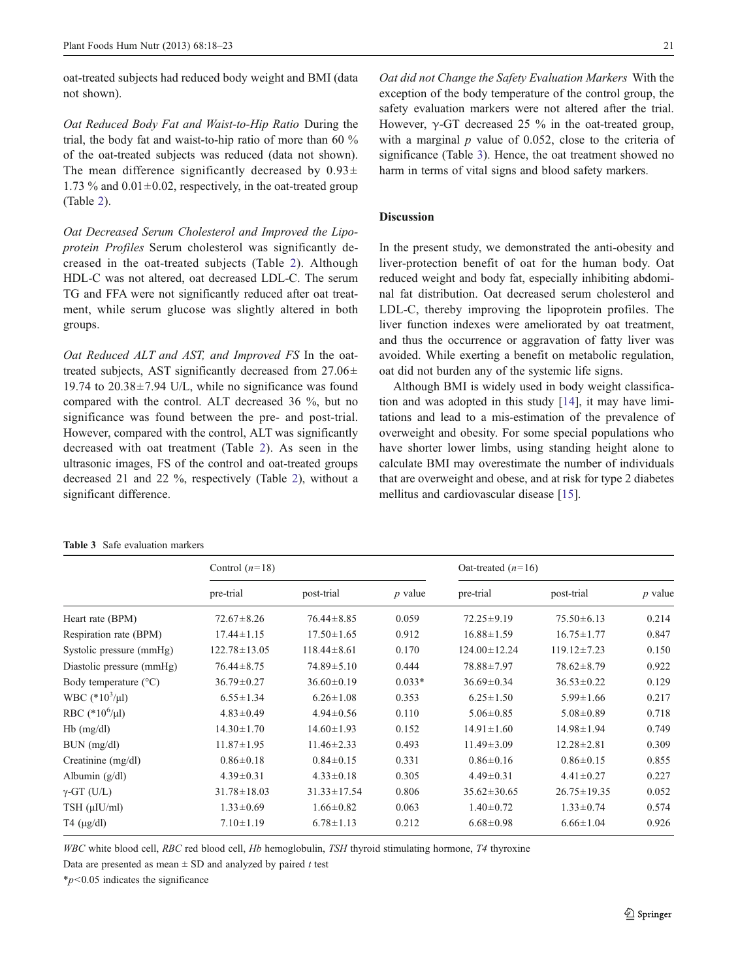oat-treated subjects had reduced body weight and BMI (data not shown).

Oat Reduced Body Fat and Waist-to-Hip Ratio During the trial, the body fat and waist-to-hip ratio of more than 60 % of the oat-treated subjects was reduced (data not shown). The mean difference significantly decreased by  $0.93\pm$ 1.73 % and  $0.01 \pm 0.02$ , respectively, in the oat-treated group (Table [2](#page-2-0)).

Oat Decreased Serum Cholesterol and Improved the Lipoprotein Profiles Serum cholesterol was significantly decreased in the oat-treated subjects (Table [2](#page-2-0)). Although HDL-C was not altered, oat decreased LDL-C. The serum TG and FFA were not significantly reduced after oat treatment, while serum glucose was slightly altered in both groups.

Oat Reduced ALT and AST, and Improved FS In the oattreated subjects, AST significantly decreased from  $27.06\pm$ 19.74 to  $20.38 \pm 7.94$  U/L, while no significance was found compared with the control. ALT decreased 36 %, but no significance was found between the pre- and post-trial. However, compared with the control, ALT was significantly decreased with oat treatment (Table [2\)](#page-2-0). As seen in the ultrasonic images, FS of the control and oat-treated groups decreased 21 and 22 %, respectively (Table [2\)](#page-2-0), without a significant difference.

#### Table 3 Safe evaluation markers

Oat did not Change the Safety Evaluation Markers With the exception of the body temperature of the control group, the safety evaluation markers were not altered after the trial. However,  $\gamma$ -GT decreased 25 % in the oat-treated group, with a marginal  $p$  value of 0.052, close to the criteria of significance (Table 3). Hence, the oat treatment showed no harm in terms of vital signs and blood safety markers.

## Discussion

In the present study, we demonstrated the anti-obesity and liver-protection benefit of oat for the human body. Oat reduced weight and body fat, especially inhibiting abdominal fat distribution. Oat decreased serum cholesterol and LDL-C, thereby improving the lipoprotein profiles. The liver function indexes were ameliorated by oat treatment, and thus the occurrence or aggravation of fatty liver was avoided. While exerting a benefit on metabolic regulation, oat did not burden any of the systemic life signs.

Although BMI is widely used in body weight classification and was adopted in this study [\[14](#page-4-0)], it may have limitations and lead to a mis-estimation of the prevalence of overweight and obesity. For some special populations who have shorter lower limbs, using standing height alone to calculate BMI may overestimate the number of individuals that are overweight and obese, and at risk for type 2 diabetes mellitus and cardiovascular disease [\[15](#page-4-0)].

| Control $(n=18)$   |                   |           | Oat-treated $(n=16)$ |                   |           |  |
|--------------------|-------------------|-----------|----------------------|-------------------|-----------|--|
| pre-trial          | post-trial        | $p$ value | pre-trial            | post-trial        | $p$ value |  |
| $72.67 \pm 8.26$   | $76.44 \pm 8.85$  | 0.059     | $72.25 \pm 9.19$     | $75.50 \pm 6.13$  | 0.214     |  |
| $17.44 \pm 1.15$   | $17.50 \pm 1.65$  | 0.912     | $16.88 \pm 1.59$     | $16.75 \pm 1.77$  | 0.847     |  |
| $122.78 \pm 13.05$ | $118.44 \pm 8.61$ | 0.170     | $124.00 \pm 12.24$   | $119.12 \pm 7.23$ | 0.150     |  |
| $76.44 \pm 8.75$   | $74.89 \pm 5.10$  | 0.444     | 78.88±7.97           | $78.62 \pm 8.79$  | 0.922     |  |
| $36.79 \pm 0.27$   | $36.60 \pm 0.19$  | $0.033*$  | $36.69 \pm 0.34$     | $36.53 \pm 0.22$  | 0.129     |  |
| $6.55 \pm 1.34$    | $6.26 \pm 1.08$   | 0.353     | $6.25 \pm 1.50$      | $5.99 \pm 1.66$   | 0.217     |  |
| $4.83 \pm 0.49$    | $4.94 \pm 0.56$   | 0.110     | $5.06 \pm 0.85$      | $5.08 \pm 0.89$   | 0.718     |  |
| $14.30 \pm 1.70$   | $14.60 \pm 1.93$  | 0.152     | $14.91 \pm 1.60$     | $14.98 \pm 1.94$  | 0.749     |  |
| $11.87 \pm 1.95$   | $11.46 \pm 2.33$  | 0.493     | $11.49 \pm 3.09$     | $12.28 \pm 2.81$  | 0.309     |  |
| $0.86 \pm 0.18$    | $0.84 \pm 0.15$   | 0.331     | $0.86 \pm 0.16$      | $0.86 \pm 0.15$   | 0.855     |  |
| $4.39 \pm 0.31$    | $4.33 \pm 0.18$   | 0.305     | $4.49 \pm 0.31$      | $4.41 \pm 0.27$   | 0.227     |  |
| $31.78 \pm 18.03$  | $31.33 \pm 17.54$ | 0.806     | $35.62 \pm 30.65$    | $26.75 \pm 19.35$ | 0.052     |  |
| $1.33 \pm 0.69$    | $1.66 \pm 0.82$   | 0.063     | $1.40 \pm 0.72$      | $1.33 \pm 0.74$   | 0.574     |  |
| $7.10 \pm 1.19$    | $6.78 \pm 1.13$   | 0.212     | $6.68 \pm 0.98$      | $6.66 \pm 1.04$   | 0.926     |  |
|                    |                   |           |                      |                   |           |  |

WBC white blood cell, RBC red blood cell, Hb hemoglobulin, TSH thyroid stimulating hormone, T4 thyroxine

Data are presented as mean  $\pm$  SD and analyzed by paired t test

 $*_{p}$ <0.05 indicates the significance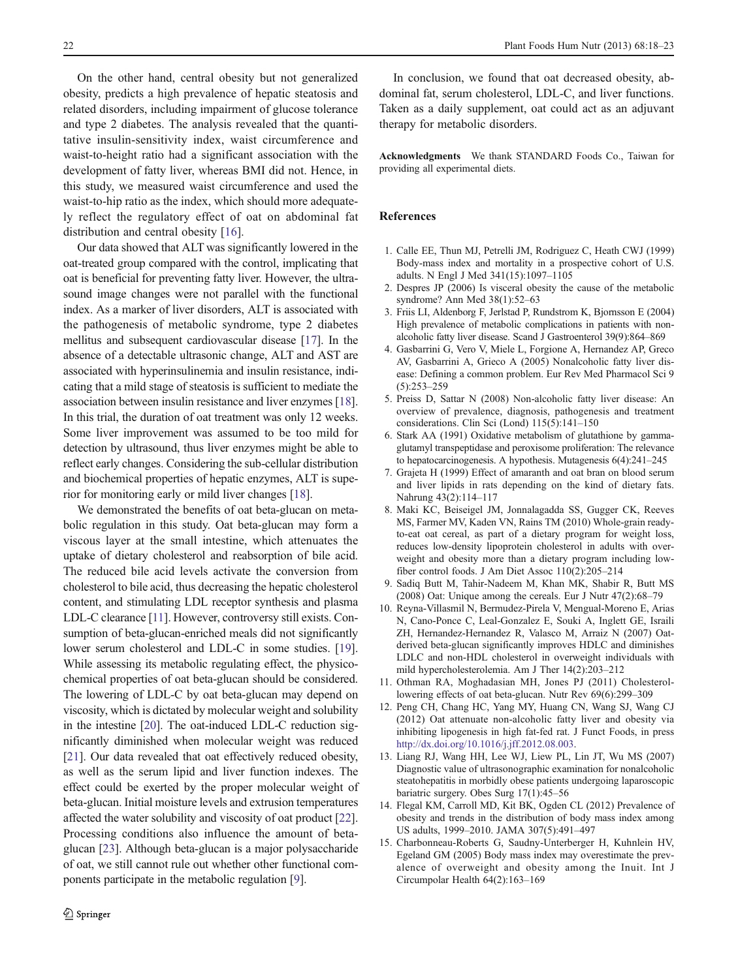<span id="page-4-0"></span>On the other hand, central obesity but not generalized obesity, predicts a high prevalence of hepatic steatosis and related disorders, including impairment of glucose tolerance and type 2 diabetes. The analysis revealed that the quantitative insulin-sensitivity index, waist circumference and waist-to-height ratio had a significant association with the development of fatty liver, whereas BMI did not. Hence, in this study, we measured waist circumference and used the waist-to-hip ratio as the index, which should more adequately reflect the regulatory effect of oat on abdominal fat distribution and central obesity [\[16](#page-5-0)].

Our data showed that ALT was significantly lowered in the oat-treated group compared with the control, implicating that oat is beneficial for preventing fatty liver. However, the ultrasound image changes were not parallel with the functional index. As a marker of liver disorders, ALT is associated with the pathogenesis of metabolic syndrome, type 2 diabetes mellitus and subsequent cardiovascular disease [\[17\]](#page-5-0). In the absence of a detectable ultrasonic change, ALT and AST are associated with hyperinsulinemia and insulin resistance, indicating that a mild stage of steatosis is sufficient to mediate the association between insulin resistance and liver enzymes [[18\]](#page-5-0). In this trial, the duration of oat treatment was only 12 weeks. Some liver improvement was assumed to be too mild for detection by ultrasound, thus liver enzymes might be able to reflect early changes. Considering the sub-cellular distribution and biochemical properties of hepatic enzymes, ALT is superior for monitoring early or mild liver changes [\[18\]](#page-5-0).

We demonstrated the benefits of oat beta-glucan on metabolic regulation in this study. Oat beta-glucan may form a viscous layer at the small intestine, which attenuates the uptake of dietary cholesterol and reabsorption of bile acid. The reduced bile acid levels activate the conversion from cholesterol to bile acid, thus decreasing the hepatic cholesterol content, and stimulating LDL receptor synthesis and plasma LDL-C clearance [11]. However, controversy still exists. Consumption of beta-glucan-enriched meals did not significantly lower serum cholesterol and LDL-C in some studies. [[19\]](#page-5-0). While assessing its metabolic regulating effect, the physicochemical properties of oat beta-glucan should be considered. The lowering of LDL-C by oat beta-glucan may depend on viscosity, which is dictated by molecular weight and solubility in the intestine [\[20](#page-5-0)]. The oat-induced LDL-C reduction significantly diminished when molecular weight was reduced [\[21\]](#page-5-0). Our data revealed that oat effectively reduced obesity, as well as the serum lipid and liver function indexes. The effect could be exerted by the proper molecular weight of beta-glucan. Initial moisture levels and extrusion temperatures affected the water solubility and viscosity of oat product [[22\]](#page-5-0). Processing conditions also influence the amount of betaglucan [\[23\]](#page-5-0). Although beta-glucan is a major polysaccharide of oat, we still cannot rule out whether other functional components participate in the metabolic regulation [9].

In conclusion, we found that oat decreased obesity, abdominal fat, serum cholesterol, LDL-C, and liver functions. Taken as a daily supplement, oat could act as an adjuvant therapy for metabolic disorders.

Acknowledgments We thank STANDARD Foods Co., Taiwan for providing all experimental diets.

## References

- 1. Calle EE, Thun MJ, Petrelli JM, Rodriguez C, Heath CWJ (1999) Body-mass index and mortality in a prospective cohort of U.S. adults. N Engl J Med 341(15):1097–1105
- 2. Despres JP (2006) Is visceral obesity the cause of the metabolic syndrome? Ann Med 38(1):52–63
- 3. Friis LI, Aldenborg F, Jerlstad P, Rundstrom K, Bjornsson E (2004) High prevalence of metabolic complications in patients with nonalcoholic fatty liver disease. Scand J Gastroenterol 39(9):864–869
- 4. Gasbarrini G, Vero V, Miele L, Forgione A, Hernandez AP, Greco AV, Gasbarrini A, Grieco A (2005) Nonalcoholic fatty liver disease: Defining a common problem. Eur Rev Med Pharmacol Sci 9 (5):253–259
- 5. Preiss D, Sattar N (2008) Non-alcoholic fatty liver disease: An overview of prevalence, diagnosis, pathogenesis and treatment considerations. Clin Sci (Lond) 115(5):141–150
- 6. Stark AA (1991) Oxidative metabolism of glutathione by gammaglutamyl transpeptidase and peroxisome proliferation: The relevance to hepatocarcinogenesis. A hypothesis. Mutagenesis 6(4):241–245
- 7. Grajeta H (1999) Effect of amaranth and oat bran on blood serum and liver lipids in rats depending on the kind of dietary fats. Nahrung 43(2):114–117
- 8. Maki KC, Beiseigel JM, Jonnalagadda SS, Gugger CK, Reeves MS, Farmer MV, Kaden VN, Rains TM (2010) Whole-grain readyto-eat oat cereal, as part of a dietary program for weight loss, reduces low-density lipoprotein cholesterol in adults with overweight and obesity more than a dietary program including lowfiber control foods. J Am Diet Assoc 110(2):205–214
- 9. Sadiq Butt M, Tahir-Nadeem M, Khan MK, Shabir R, Butt MS (2008) Oat: Unique among the cereals. Eur J Nutr 47(2):68–79
- 10. Reyna-Villasmil N, Bermudez-Pirela V, Mengual-Moreno E, Arias N, Cano-Ponce C, Leal-Gonzalez E, Souki A, Inglett GE, Israili ZH, Hernandez-Hernandez R, Valasco M, Arraiz N (2007) Oatderived beta-glucan significantly improves HDLC and diminishes LDLC and non-HDL cholesterol in overweight individuals with mild hypercholesterolemia. Am J Ther 14(2):203–212
- 11. Othman RA, Moghadasian MH, Jones PJ (2011) Cholesterollowering effects of oat beta-glucan. Nutr Rev 69(6):299–309
- 12. Peng CH, Chang HC, Yang MY, Huang CN, Wang SJ, Wang CJ (2012) Oat attenuate non-alcoholic fatty liver and obesity via inhibiting lipogenesis in high fat-fed rat. J Funct Foods, in press <http://dx.doi.org/10.1016/j.jff.2012.08.003>.
- 13. Liang RJ, Wang HH, Lee WJ, Liew PL, Lin JT, Wu MS (2007) Diagnostic value of ultrasonographic examination for nonalcoholic steatohepatitis in morbidly obese patients undergoing laparoscopic bariatric surgery. Obes Surg 17(1):45–56
- 14. Flegal KM, Carroll MD, Kit BK, Ogden CL (2012) Prevalence of obesity and trends in the distribution of body mass index among US adults, 1999–2010. JAMA 307(5):491–497
- 15. Charbonneau-Roberts G, Saudny-Unterberger H, Kuhnlein HV, Egeland GM (2005) Body mass index may overestimate the prevalence of overweight and obesity among the Inuit. Int J Circumpolar Health 64(2):163–169